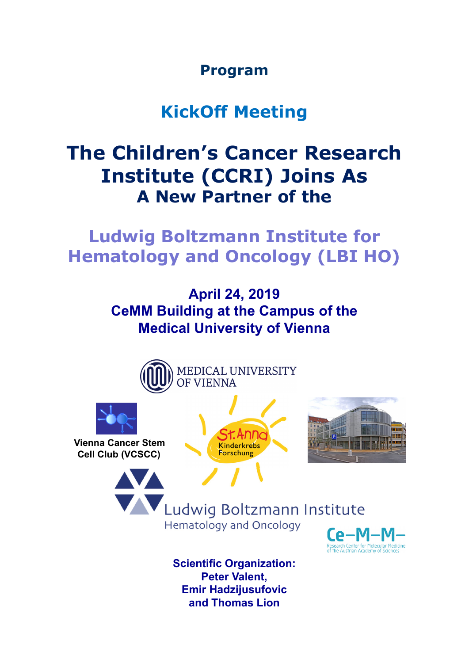**Program**

## **KickOff Meeting**

## **The Children's Cancer Research Institute (CCRI) Joins As A New Partner of the**

**Ludwig Boltzmann Institute for Hematology and Oncology (LBI HO)**

> **April 24, 2019 CeMM Building at the Campus of the Medical University of Vienna**



**Scientific Organization: Peter Valent, Emir Hadzijusufovic and Thomas Lion**